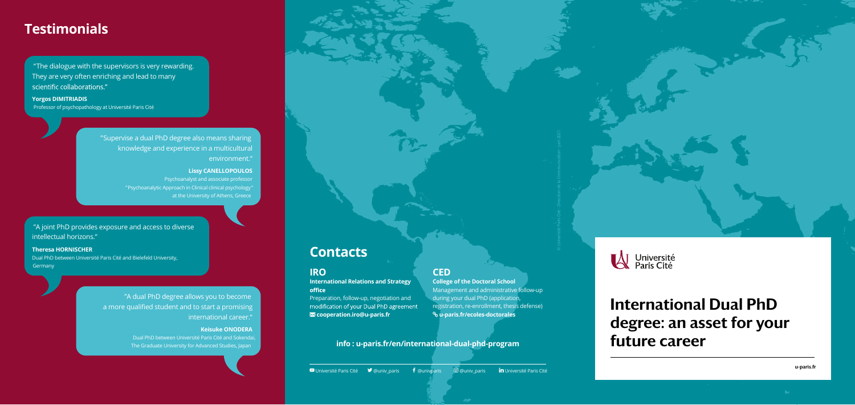" The dialogue with the supervisors is very rewarding. They are very often enriching and lead to many scientific collaborations."

# International Dual PhD degree: an asset for your future career

u-paris.fr

#### **Yorgos DIMITRIADIS**

Professor of psychopathology at Université Paris Cité

**Theresa HORNISCHER**  Dual PhD between Université Paris Cité and Bielefeld University, **Germany** 

" Supervise a dual PhD degree also means sharing knowledge and experience in a multicultural environment."

"A dual PhD degree allows you to become a more qualified student and to start a promising international career."

#### **Lissy CANELLOPOULOS**

Psychoanalyst and associate professor " Psychoanalytic Approach in Clinical clinical psychology "

> **International Relations and Strategy**  office Preparation, follow-up, negotiation and

modification of your Dual PhD agreement **cooperation.iro@u-paris.fr**

#### "A joint PhD provides exposure and access to diverse intellectual horizons."

#### **Keisuke ONODERA**

Dual PhD between Université Paris Cité and Sokendai, The Graduate University for Advanced Studies, Japan

### **IRO**

#### **CED**

**College of the Doctoral School** Management and administrative follow-up during your dual PhD (application, registration, re-enrollment, thesis defense)  **u-paris.fr/ecoles-doctorales**

## **Contacts**

# **Testimonials**

Université Paris Cité @univ\_paris @univparis @univ\_paris Université Paris Cité





#### **info : u-paris.fr/en/international-dual-phd-program**